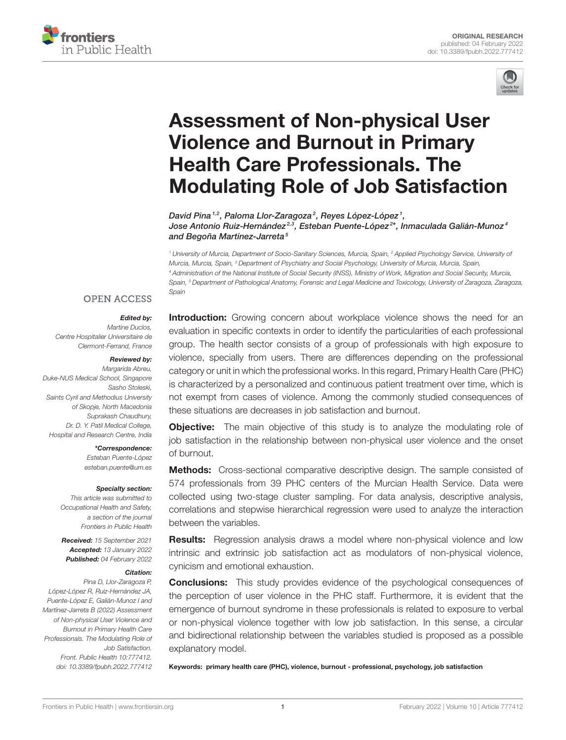



# Assessment of Non-physical User Violence and Burnout in Primary Health Care Professionals. The [Modulating Role of Job Satisfaction](https://www.frontiersin.org/articles/10.3389/fpubh.2022.777412/full)

David Pina 1,2, Paloma Llor-Zaragoza<sup>2</sup>, Reyes López-López <sup>1</sup>, Jose Antonio Ruiz-Hernández<sup>2,3</sup>, Esteban Puente-López<sup>2\*</sup>, Inmaculada Galián-Munoz<sup>4</sup> and Begoña Martínez-Jarreta<sup>5</sup>

<sup>1</sup> University of Murcia, Department of Socio-Sanitary Sciences, Murcia, Spain, <sup>2</sup> Applied Psychology Service, University of Murcia, Murcia, Spain, <sup>3</sup> Department of Psychiatry and Social Psychology, University of Murcia, Murcia, Spain, <sup>4</sup> Administration of the National Institute of Social Security (INSS), Ministry of Work, Migration and Social Security, Murcia, Spain, <sup>5</sup> Department of Pathological Anatomy, Forensic and Legal Medicine and Toxicology, University of Zaragoza, Zaragoza, Spain

## **OPEN ACCESS**

#### Edited by:

Martine Duclos, Centre Hospitalier Universitaire de Clermont-Ferrand, France

#### Reviewed by:

Margarida Abreu, Duke-NUS Medical School, Singapore Sasho Stoleski, Saints Cyril and Methodius University of Skopje, North Macedonia Suprakash Chaudhury, Dr. D. Y. Patil Medical College, Hospital and Research Centre, India

> \*Correspondence: Esteban Puente-López [esteban.puente@um.es](mailto:esteban.puente@um.es)

#### Specialty section:

This article was submitted to Occupational Health and Safety, a section of the journal Frontiers in Public Health

Received: 15 September 2021 Accepted: 13 January 2022 Published: 04 February 2022

#### Citation:

Pina D, Llor-Zaragoza P, López-López R, Ruiz-Hernández JA, Puente-López E, Galián-Munoz I and Martínez-Jarreta B (2022) Assessment of Non-physical User Violence and Burnout in Primary Health Care Professionals. The Modulating Role of Job Satisfaction. Front. Public Health 10:777412. doi: [10.3389/fpubh.2022.777412](https://doi.org/10.3389/fpubh.2022.777412) **Introduction:** Growing concern about workplace violence shows the need for an evaluation in specific contexts in order to identify the particularities of each professional group. The health sector consists of a group of professionals with high exposure to violence, specially from users. There are differences depending on the professional category or unit in which the professional works. In this regard, Primary Health Care (PHC) is characterized by a personalized and continuous patient treatment over time, which is not exempt from cases of violence. Among the commonly studied consequences of these situations are decreases in job satisfaction and burnout.

**Objective:** The main objective of this study is to analyze the modulating role of job satisfaction in the relationship between non-physical user violence and the onset of burnout.

Methods: Cross-sectional comparative descriptive design. The sample consisted of 574 professionals from 39 PHC centers of the Murcian Health Service. Data were collected using two-stage cluster sampling. For data analysis, descriptive analysis, correlations and stepwise hierarchical regression were used to analyze the interaction between the variables.

**Results:** Regression analysis draws a model where non-physical violence and low intrinsic and extrinsic job satisfaction act as modulators of non-physical violence, cynicism and emotional exhaustion.

**Conclusions:** This study provides evidence of the psychological consequences of the perception of user violence in the PHC staff. Furthermore, it is evident that the emergence of burnout syndrome in these professionals is related to exposure to verbal or non-physical violence together with low job satisfaction. In this sense, a circular and bidirectional relationship between the variables studied is proposed as a possible explanatory model.

Keywords: primary health care (PHC), violence, burnout - professional, psychology, job satisfaction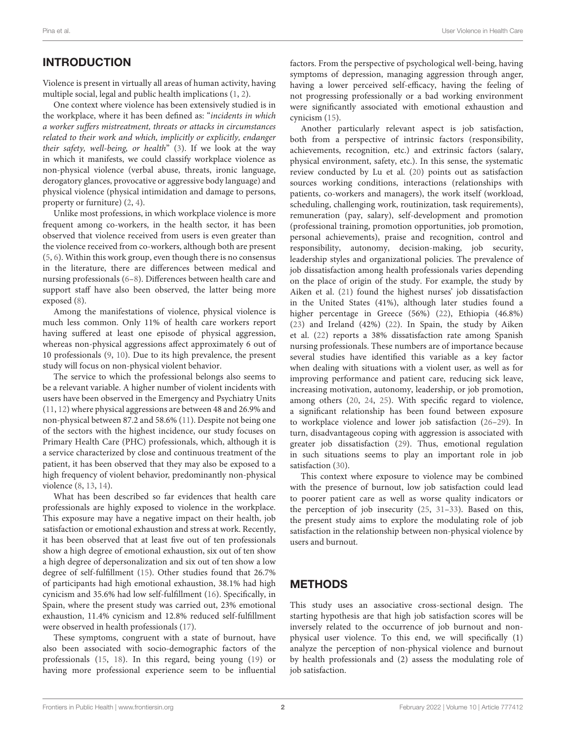# INTRODUCTION

Violence is present in virtually all areas of human activity, having multiple social, legal and public health implications [\(1,](#page-6-0) [2\)](#page-6-1).

One context where violence has been extensively studied is in the workplace, where it has been defined as: "incidents in which a worker suffers mistreatment, threats or attacks in circumstances related to their work and which, implicitly or explicitly, endanger their safety, well-being, or health" [\(3\)](#page-6-2). If we look at the way in which it manifests, we could classify workplace violence as non-physical violence (verbal abuse, threats, ironic language, derogatory glances, provocative or aggressive body language) and physical violence (physical intimidation and damage to persons, property or furniture) [\(2,](#page-6-1) [4\)](#page-6-3).

Unlike most professions, in which workplace violence is more frequent among co-workers, in the health sector, it has been observed that violence received from users is even greater than the violence received from co-workers, although both are present [\(5,](#page-6-4) [6\)](#page-6-5). Within this work group, even though there is no consensus in the literature, there are differences between medical and nursing professionals [\(6–](#page-6-5)[8\)](#page-6-6). Differences between health care and support staff have also been observed, the latter being more exposed [\(8\)](#page-6-6).

Among the manifestations of violence, physical violence is much less common. Only 11% of health care workers report having suffered at least one episode of physical aggression, whereas non-physical aggressions affect approximately 6 out of 10 professionals [\(9,](#page-6-7) [10\)](#page-6-8). Due to its high prevalence, the present study will focus on non-physical violent behavior.

The service to which the professional belongs also seems to be a relevant variable. A higher number of violent incidents with users have been observed in the Emergency and Psychiatry Units [\(11,](#page-6-9) [12\)](#page-6-10) where physical aggressions are between 48 and 26.9% and non-physical between 87.2 and 58.6% [\(11\)](#page-6-9). Despite not being one of the sectors with the highest incidence, our study focuses on Primary Health Care (PHC) professionals, which, although it is a service characterized by close and continuous treatment of the patient, it has been observed that they may also be exposed to a high frequency of violent behavior, predominantly non-physical violence [\(8,](#page-6-6) [13,](#page-6-11) [14\)](#page-6-12).

What has been described so far evidences that health care professionals are highly exposed to violence in the workplace. This exposure may have a negative impact on their health, job satisfaction or emotional exhaustion and stress at work. Recently, it has been observed that at least five out of ten professionals show a high degree of emotional exhaustion, six out of ten show a high degree of depersonalization and six out of ten show a low degree of self-fulfillment [\(15\)](#page-6-13). Other studies found that 26.7% of participants had high emotional exhaustion, 38.1% had high cynicism and 35.6% had low self-fulfillment [\(16\)](#page-6-14). Specifically, in Spain, where the present study was carried out, 23% emotional exhaustion, 11.4% cynicism and 12.8% reduced self-fulfillment were observed in health professionals [\(17\)](#page-6-15).

These symptoms, congruent with a state of burnout, have also been associated with socio-demographic factors of the professionals [\(15,](#page-6-13) [18\)](#page-6-16). In this regard, being young [\(19\)](#page-6-17) or having more professional experience seem to be influential factors. From the perspective of psychological well-being, having symptoms of depression, managing aggression through anger, having a lower perceived self-efficacy, having the feeling of not progressing professionally or a bad working environment were significantly associated with emotional exhaustion and cynicism [\(15\)](#page-6-13).

Another particularly relevant aspect is job satisfaction, both from a perspective of intrinsic factors (responsibility, achievements, recognition, etc.) and extrinsic factors (salary, physical environment, safety, etc.). In this sense, the systematic review conducted by Lu et al. [\(20\)](#page-6-18) points out as satisfaction sources working conditions, interactions (relationships with patients, co-workers and managers), the work itself (workload, scheduling, challenging work, routinization, task requirements), remuneration (pay, salary), self-development and promotion (professional training, promotion opportunities, job promotion, personal achievements), praise and recognition, control and responsibility, autonomy, decision-making, job security, leadership styles and organizational policies. The prevalence of job dissatisfaction among health professionals varies depending on the place of origin of the study. For example, the study by Aiken et al. [\(21\)](#page-6-19) found the highest nurses' job dissatisfaction in the United States (41%), although later studies found a higher percentage in Greece (56%) [\(22\)](#page-6-20), Ethiopia (46.8%) [\(23\)](#page-6-21) and Ireland (42%) [\(22\)](#page-6-20). In Spain, the study by Aiken et al. [\(22\)](#page-6-20) reports a 38% dissatisfaction rate among Spanish nursing professionals. These numbers are of importance because several studies have identified this variable as a key factor when dealing with situations with a violent user, as well as for improving performance and patient care, reducing sick leave, increasing motivation, autonomy, leadership, or job promotion, among others [\(20,](#page-6-18) [24,](#page-6-22) [25\)](#page-6-23). With specific regard to violence, a significant relationship has been found between exposure to workplace violence and lower job satisfaction [\(26–](#page-6-24)[29\)](#page-7-0). In turn, disadvantageous coping with aggression is associated with greater job dissatisfaction [\(29\)](#page-7-0). Thus, emotional regulation in such situations seems to play an important role in job satisfaction [\(30\)](#page-7-1).

This context where exposure to violence may be combined with the presence of burnout, low job satisfaction could lead to poorer patient care as well as worse quality indicators or the perception of job insecurity [\(25,](#page-6-23) [31–](#page-7-2)[33\)](#page-7-3). Based on this, the present study aims to explore the modulating role of job satisfaction in the relationship between non-physical violence by users and burnout.

# METHODS

This study uses an associative cross-sectional design. The starting hypothesis are that high job satisfaction scores will be inversely related to the occurrence of job burnout and nonphysical user violence. To this end, we will specifically (1) analyze the perception of non-physical violence and burnout by health professionals and (2) assess the modulating role of job satisfaction.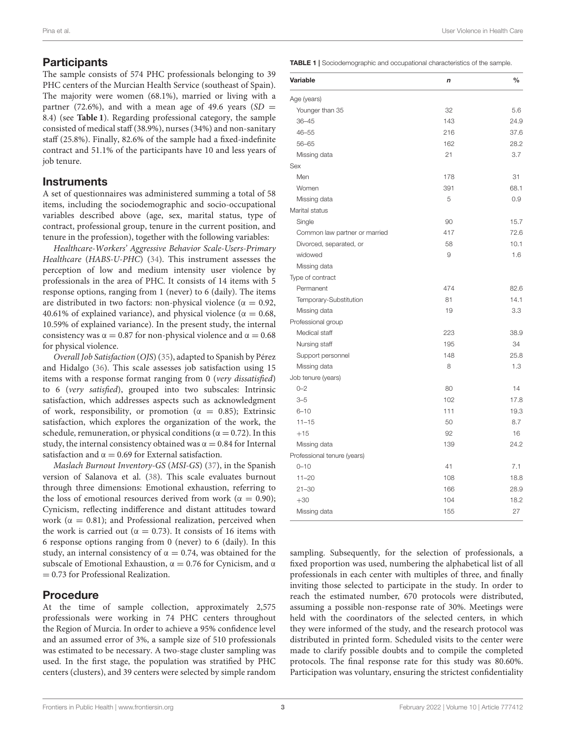# **Participants**

The sample consists of 574 PHC professionals belonging to 39 PHC centers of the Murcian Health Service (southeast of Spain). The majority were women (68.1%), married or living with a partner (72.6%), and with a mean age of 49.6 years (SD = 8.4) (see **[Table 1](#page-2-0)**). Regarding professional category, the sample consisted of medical staff (38.9%), nurses (34%) and non-sanitary staff (25.8%). Finally, 82.6% of the sample had a fixed-indefinite contract and 51.1% of the participants have 10 and less years of job tenure.

## **Instruments**

A set of questionnaires was administered summing a total of 58 items, including the sociodemographic and socio-occupational variables described above (age, sex, marital status, type of contract, professional group, tenure in the current position, and tenure in the profession), together with the following variables:

Healthcare-Workers' Aggressive Behavior Scale-Users-Primary Healthcare (HABS-U-PHC) [\(34\)](#page-7-4). This instrument assesses the perception of low and medium intensity user violence by professionals in the area of PHC. It consists of 14 items with 5 response options, ranging from 1 (never) to 6 (daily). The items are distributed in two factors: non-physical violence ( $\alpha = 0.92$ , 40.61% of explained variance), and physical violence ( $\alpha = 0.68$ , 10.59% of explained variance). In the present study, the internal consistency was  $\alpha = 0.87$  for non-physical violence and  $\alpha = 0.68$ for physical violence.

Overall Job Satisfaction (OJS) [\(35\)](#page-7-5), adapted to Spanish by Pérez and Hidalgo [\(36\)](#page-7-6). This scale assesses job satisfaction using 15 items with a response format ranging from 0 (very dissatisfied) to 6 (very satisfied), grouped into two subscales: Intrinsic satisfaction, which addresses aspects such as acknowledgment of work, responsibility, or promotion ( $\alpha = 0.85$ ); Extrinsic satisfaction, which explores the organization of the work, the schedule, remuneration, or physical conditions ( $\alpha = 0.72$ ). In this study, the internal consistency obtained was  $\alpha = 0.84$  for Internal satisfaction and  $\alpha = 0.69$  for External satisfaction.

Maslach Burnout Inventory-GS (MSI-GS) [\(37\)](#page-7-7), in the Spanish version of Salanova et al. [\(38\)](#page-7-8). This scale evaluates burnout through three dimensions: Emotional exhaustion, referring to the loss of emotional resources derived from work ( $\alpha = 0.90$ ); Cynicism, reflecting indifference and distant attitudes toward work ( $\alpha = 0.81$ ); and Professional realization, perceived when the work is carried out ( $\alpha = 0.73$ ). It consists of 16 items with 6 response options ranging from 0 (never) to 6 (daily). In this study, an internal consistency of  $\alpha = 0.74$ , was obtained for the subscale of Emotional Exhaustion,  $\alpha = 0.76$  for Cynicism, and  $\alpha$ = 0.73 for Professional Realization.

# Procedure

At the time of sample collection, approximately 2,575 professionals were working in 74 PHC centers throughout the Region of Murcia. In order to achieve a 95% confidence level and an assumed error of 3%, a sample size of 510 professionals was estimated to be necessary. A two-stage cluster sampling was used. In the first stage, the population was stratified by PHC centers (clusters), and 39 centers were selected by simple random <span id="page-2-0"></span>TABLE 1 | Sociodemographic and occupational characteristics of the sample.

| Variable                      | n   | $\frac{0}{0}$ |
|-------------------------------|-----|---------------|
| Age (years)                   |     |               |
| Younger than 35               | 32  | 5.6           |
| $36 - 45$                     | 143 | 24.9          |
| $46 - 55$                     | 216 | 37.6          |
| 56-65                         | 162 | 28.2          |
| Missing data                  | 21  | 3.7           |
| Sex                           |     |               |
| Men                           | 178 | 31            |
| Women                         | 391 | 68.1          |
| Missing data                  | 5   | 0.9           |
| Marital status                |     |               |
| Single                        | 90  | 15.7          |
| Common law partner or married | 417 | 72.6          |
| Divorced, separated, or       | 58  | 10.1          |
| widowed                       | 9   | 1.6           |
| Missing data                  |     |               |
| Type of contract              |     |               |
| Permanent                     | 474 | 82.6          |
| Temporary-Substitution        | 81  | 14.1          |
| Missing data                  | 19  | 3.3           |
| Professional group            |     |               |
| Medical staff                 | 223 | 38.9          |
| Nursing staff                 | 195 | 34            |
| Support personnel             | 148 | 25.8          |
| Missing data                  | 8   | 1.3           |
| Job tenure (years)            |     |               |
| $0 - 2$                       | 80  | 14            |
| $3 - 5$                       | 102 | 17.8          |
| $6 - 10$                      | 111 | 19.3          |
| $11 - 15$                     | 50  | 8.7           |
| $+15$                         | 92  | 16            |
| Missing data                  | 139 | 24.2          |
| Professional tenure (years)   |     |               |
| $0 - 10$                      | 41  | 7.1           |
| $11 - 20$                     | 108 | 18.8          |
| $21 - 30$                     | 166 | 28.9          |
| $+30$                         | 104 | 18.2          |
| Missing data                  | 155 | 27            |

sampling. Subsequently, for the selection of professionals, a fixed proportion was used, numbering the alphabetical list of all professionals in each center with multiples of three, and finally inviting those selected to participate in the study. In order to reach the estimated number, 670 protocols were distributed, assuming a possible non-response rate of 30%. Meetings were held with the coordinators of the selected centers, in which they were informed of the study, and the research protocol was distributed in printed form. Scheduled visits to the center were made to clarify possible doubts and to compile the completed protocols. The final response rate for this study was 80.60%. Participation was voluntary, ensuring the strictest confidentiality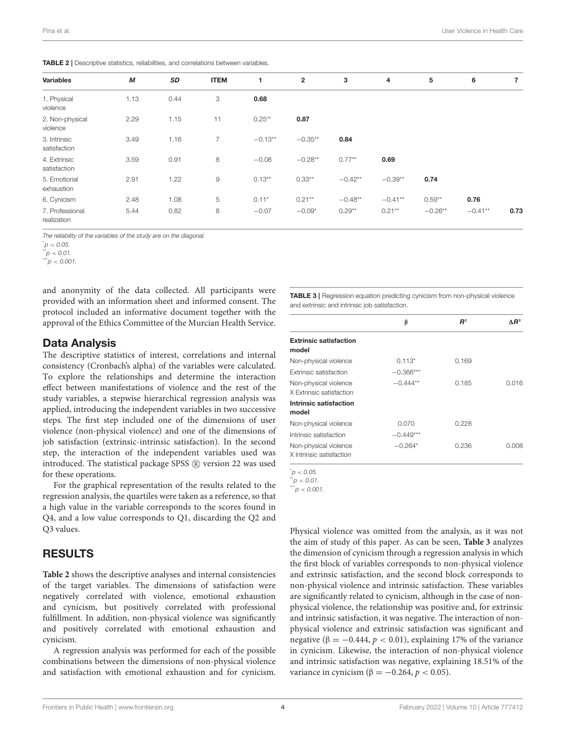<span id="page-3-0"></span>TABLE 2 | Descriptive statistics, reliabilities, and correlations between variables.

| <b>Variables</b>               | М    | SD   | <b>ITEM</b> |           | $\mathbf{2}$ | 3         | 4         | 5         | 6          | 7    |
|--------------------------------|------|------|-------------|-----------|--------------|-----------|-----------|-----------|------------|------|
| 1. Physical<br>violence        | 1.13 | 0.44 | 3           | 0.68      |              |           |           |           |            |      |
| 2. Non-physical<br>violence    | 2.29 | 1.15 | 11          | $0.25***$ | 0.87         |           |           |           |            |      |
| 3. Intrinsic<br>satisfaction   | 3.49 | 1.16 | 7           | $-0.13**$ | $-0.35**$    | 0.84      |           |           |            |      |
| 4. Extrinsic<br>satisfaction   | 3.59 | 0.91 | 8           | $-0.08$   | $-0.28**$    | $0.77**$  | 0.69      |           |            |      |
| 5. Emotional<br>exhaustion     | 2.91 | 1.22 | 9           | $0.13**$  | $0.33**$     | $-0.42**$ | $-0.39**$ | 0.74      |            |      |
| 6. Cynicism                    | 2.48 | 1.08 | 5           | $0.11*$   | $0.21**$     | $-0.48**$ | $-0.41**$ | $0.59**$  | 0.76       |      |
| 7. Professional<br>realization | 5.44 | 0.82 | 8           | $-0.07$   | $-0.09*$     | $0.29**$  | $0.21***$ | $-0.26**$ | $-0.41***$ | 0.73 |

The reliability of the variables of the study are on the diagonal.

 $p'$  < 0.05.

 $\mu^*$ p < 0.01.

 $p < 0.001$ .

and anonymity of the data collected. All participants were provided with an information sheet and informed consent. The protocol included an informative document together with the approval of the Ethics Committee of the Murcian Health Service.

#### Data Analysis

The descriptive statistics of interest, correlations and internal consistency (Cronbach's alpha) of the variables were calculated. To explore the relationships and determine the interaction effect between manifestations of violence and the rest of the study variables, a stepwise hierarchical regression analysis was applied, introducing the independent variables in two successive steps. The first step included one of the dimensions of user violence (non-physical violence) and one of the dimensions of job satisfaction (extrinsic-intrinsic satisfaction). In the second step, the interaction of the independent variables used was introduced. The statistical package SPSS (R) version 22 was used for these operations.

For the graphical representation of the results related to the regression analysis, the quartiles were taken as a reference, so that a high value in the variable corresponds to the scores found in Q4, and a low value corresponds to Q1, discarding the Q2 and Q3 values.

# RESULTS

**[Table 2](#page-3-0)** shows the descriptive analyses and internal consistencies of the target variables. The dimensions of satisfaction were negatively correlated with violence, emotional exhaustion and cynicism, but positively correlated with professional fulfillment. In addition, non-physical violence was significantly and positively correlated with emotional exhaustion and cynicism.

A regression analysis was performed for each of the possible combinations between the dimensions of non-physical violence and satisfaction with emotional exhaustion and for cynicism.

<span id="page-3-1"></span>TABLE 3 | Regression equation predicting cynicism from non-physical violence and extrinsic and intrinsic job satisfaction.

|                                                   | β           | $R^2$ | $\Delta R^2$ |
|---------------------------------------------------|-------------|-------|--------------|
| <b>Extrinsic satisfaction</b><br>model            |             |       |              |
| Non-physical violence                             | $0.113*$    | 0.169 |              |
| Extrinsic satisfaction                            | $-0.366***$ |       |              |
| Non-physical violence<br>X Extrinsic satisfaction | $-0.444**$  | 0.185 | 0.016        |
| Intrinsic satisfaction<br>model                   |             |       |              |
| Non-physical violence                             | 0.070       | 0.228 |              |
| Intrinsic satisfaction                            | $-0.449***$ |       |              |
| Non-physical violence<br>X Intrinsic satisfaction | $-0.264*$   | 0.236 | 0.008        |

 $p < 0.05$ 

 $\ddot{p}$  < 0.01.

 $p < 0.001$ .

Physical violence was omitted from the analysis, as it was not the aim of study of this paper. As can be seen, **[Table 3](#page-3-1)** analyzes the dimension of cynicism through a regression analysis in which the first block of variables corresponds to non-physical violence and extrinsic satisfaction, and the second block corresponds to non-physical violence and intrinsic satisfaction. These variables are significantly related to cynicism, although in the case of nonphysical violence, the relationship was positive and, for extrinsic and intrinsic satisfaction, it was negative. The interaction of nonphysical violence and extrinsic satisfaction was significant and negative (β =  $-0.444$ , *p* < 0.01), explaining 17% of the variance in cynicism. Likewise, the interaction of non-physical violence and intrinsic satisfaction was negative, explaining 18.51% of the variance in cynicism ( $\beta = -0.264$ ,  $p < 0.05$ ).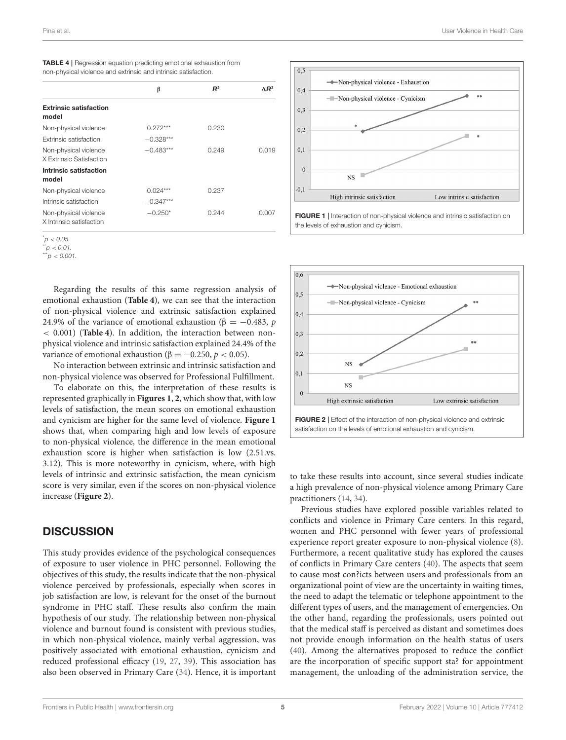<span id="page-4-0"></span>

| <b>TABLE 4</b>   Regression equation predicting emotional exhaustion from |  |
|---------------------------------------------------------------------------|--|
| non-physical violence and extrinsic and intrinsic satisfaction.           |  |

|                                                   | β           | $R^2$ | $\Delta$ R <sup>2</sup> |
|---------------------------------------------------|-------------|-------|-------------------------|
| <b>Extrinsic satisfaction</b><br>model            |             |       |                         |
| Non-physical violence                             | $0.272***$  | 0.230 |                         |
| Extrinsic satisfaction                            | $-0.328***$ |       |                         |
| Non-physical violence<br>X Extrinsic Satisfaction | $-0.483***$ | 0.249 | 0.019                   |
| Intrinsic satisfaction<br>model                   |             |       |                         |
| Non-physical violence                             | $0.024***$  | 0.237 |                         |
| Intrinsic satisfaction                            | $-0.347***$ |       |                         |
| Non-physical violence<br>X Intrinsic satisfaction | $-0.250*$   | 0.244 | 0.007                   |

 $p' < 0.05$ .

 $p < 0.01$ .

 $p < 0.001$ .

Regarding the results of this same regression analysis of emotional exhaustion (**[Table 4](#page-4-0)**), we can see that the interaction of non-physical violence and extrinsic satisfaction explained 24.9% of the variance of emotional exhaustion ( $\beta = -0.483$ , p < 0.001) (**[Table 4](#page-4-0)**). In addition, the interaction between nonphysical violence and intrinsic satisfaction explained 24.4% of the variance of emotional exhaustion ( $β = -0.250, p < 0.05$ ).

No interaction between extrinsic and intrinsic satisfaction and non-physical violence was observed for Professional Fulfillment.

To elaborate on this, the interpretation of these results is represented graphically in **[Figures 1](#page-4-1)**, **[2](#page-4-2)**, which show that, with low levels of satisfaction, the mean scores on emotional exhaustion and cynicism are higher for the same level of violence. **[Figure 1](#page-4-1)** shows that, when comparing high and low levels of exposure to non-physical violence, the difference in the mean emotional exhaustion score is higher when satisfaction is low (2.51.vs. 3.12). This is more noteworthy in cynicism, where, with high levels of intrinsic and extrinsic satisfaction, the mean cynicism score is very similar, even if the scores on non-physical violence increase (**[Figure 2](#page-4-2)**).

## **DISCUSSION**

This study provides evidence of the psychological consequences of exposure to user violence in PHC personnel. Following the objectives of this study, the results indicate that the non-physical violence perceived by professionals, especially when scores in job satisfaction are low, is relevant for the onset of the burnout syndrome in PHC staff. These results also confirm the main hypothesis of our study. The relationship between non-physical violence and burnout found is consistent with previous studies, in which non-physical violence, mainly verbal aggression, was positively associated with emotional exhaustion, cynicism and reduced professional efficacy [\(19,](#page-6-17) [27,](#page-7-9) [39\)](#page-7-10). This association has also been observed in Primary Care [\(34\)](#page-7-4). Hence, it is important



<span id="page-4-1"></span>

<span id="page-4-2"></span>to take these results into account, since several studies indicate a high prevalence of non-physical violence among Primary Care practitioners [\(14,](#page-6-12) [34\)](#page-7-4).

Previous studies have explored possible variables related to conflicts and violence in Primary Care centers. In this regard, women and PHC personnel with fewer years of professional experience report greater exposure to non-physical violence [\(8\)](#page-6-6). Furthermore, a recent qualitative study has explored the causes of conflicts in Primary Care centers [\(40\)](#page-7-11). The aspects that seem to cause most con?icts between users and professionals from an organizational point of view are the uncertainty in waiting times, the need to adapt the telematic or telephone appointment to the different types of users, and the management of emergencies. On the other hand, regarding the professionals, users pointed out that the medical staff is perceived as distant and sometimes does not provide enough information on the health status of users [\(40\)](#page-7-11). Among the alternatives proposed to reduce the conflict are the incorporation of specific support sta? for appointment management, the unloading of the administration service, the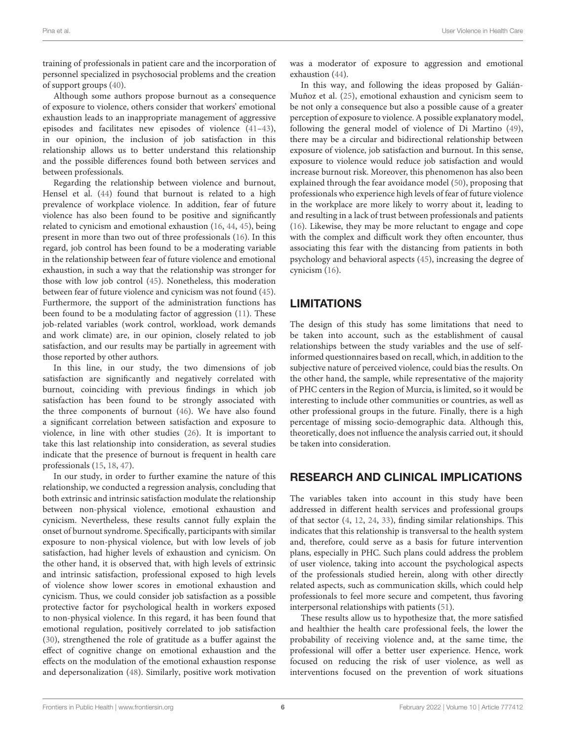training of professionals in patient care and the incorporation of personnel specialized in psychosocial problems and the creation of support groups [\(40\)](#page-7-11).

Although some authors propose burnout as a consequence of exposure to violence, others consider that workers' emotional exhaustion leads to an inappropriate management of aggressive episodes and facilitates new episodes of violence [\(41–](#page-7-12)[43\)](#page-7-13), in our opinion, the inclusion of job satisfaction in this relationship allows us to better understand this relationship and the possible differences found both between services and between professionals.

Regarding the relationship between violence and burnout, Hensel et al. [\(44\)](#page-7-14) found that burnout is related to a high prevalence of workplace violence. In addition, fear of future violence has also been found to be positive and significantly related to cynicism and emotional exhaustion [\(16,](#page-6-14) [44,](#page-7-14) [45\)](#page-7-15), being present in more than two out of three professionals [\(16\)](#page-6-14). In this regard, job control has been found to be a moderating variable in the relationship between fear of future violence and emotional exhaustion, in such a way that the relationship was stronger for those with low job control [\(45\)](#page-7-15). Nonetheless, this moderation between fear of future violence and cynicism was not found [\(45\)](#page-7-15). Furthermore, the support of the administration functions has been found to be a modulating factor of aggression [\(11\)](#page-6-9). These job-related variables (work control, workload, work demands and work climate) are, in our opinion, closely related to job satisfaction, and our results may be partially in agreement with those reported by other authors.

In this line, in our study, the two dimensions of job satisfaction are significantly and negatively correlated with burnout, coinciding with previous findings in which job satisfaction has been found to be strongly associated with the three components of burnout [\(46\)](#page-7-16). We have also found a significant correlation between satisfaction and exposure to violence, in line with other studies [\(26\)](#page-6-24). It is important to take this last relationship into consideration, as several studies indicate that the presence of burnout is frequent in health care professionals [\(15,](#page-6-13) [18,](#page-6-16) [47\)](#page-7-17).

In our study, in order to further examine the nature of this relationship, we conducted a regression analysis, concluding that both extrinsic and intrinsic satisfaction modulate the relationship between non-physical violence, emotional exhaustion and cynicism. Nevertheless, these results cannot fully explain the onset of burnout syndrome. Specifically, participants with similar exposure to non-physical violence, but with low levels of job satisfaction, had higher levels of exhaustion and cynicism. On the other hand, it is observed that, with high levels of extrinsic and intrinsic satisfaction, professional exposed to high levels of violence show lower scores in emotional exhaustion and cynicism. Thus, we could consider job satisfaction as a possible protective factor for psychological health in workers exposed to non-physical violence. In this regard, it has been found that emotional regulation, positively correlated to job satisfaction [\(30\)](#page-7-1), strengthened the role of gratitude as a buffer against the effect of cognitive change on emotional exhaustion and the effects on the modulation of the emotional exhaustion response and depersonalization [\(48\)](#page-7-18). Similarly, positive work motivation was a moderator of exposure to aggression and emotional exhaustion [\(44\)](#page-7-14).

In this way, and following the ideas proposed by Galián-Muñoz et al. [\(25\)](#page-6-23), emotional exhaustion and cynicism seem to be not only a consequence but also a possible cause of a greater perception of exposure to violence. A possible explanatory model, following the general model of violence of Di Martino [\(49\)](#page-7-19), there may be a circular and bidirectional relationship between exposure of violence, job satisfaction and burnout. In this sense, exposure to violence would reduce job satisfaction and would increase burnout risk. Moreover, this phenomenon has also been explained through the fear avoidance model [\(50\)](#page-7-20), proposing that professionals who experience high levels of fear of future violence in the workplace are more likely to worry about it, leading to and resulting in a lack of trust between professionals and patients [\(16\)](#page-6-14). Likewise, they may be more reluctant to engage and cope with the complex and difficult work they often encounter, thus associating this fear with the distancing from patients in both psychology and behavioral aspects [\(45\)](#page-7-15), increasing the degree of cynicism [\(16\)](#page-6-14).

# LIMITATIONS

The design of this study has some limitations that need to be taken into account, such as the establishment of causal relationships between the study variables and the use of selfinformed questionnaires based on recall, which, in addition to the subjective nature of perceived violence, could bias the results. On the other hand, the sample, while representative of the majority of PHC centers in the Region of Murcia, is limited, so it would be interesting to include other communities or countries, as well as other professional groups in the future. Finally, there is a high percentage of missing socio-demographic data. Although this, theoretically, does not influence the analysis carried out, it should be taken into consideration.

# RESEARCH AND CLINICAL IMPLICATIONS

The variables taken into account in this study have been addressed in different health services and professional groups of that sector [\(4,](#page-6-3) [12,](#page-6-10) [24,](#page-6-22) [33\)](#page-7-3), finding similar relationships. This indicates that this relationship is transversal to the health system and, therefore, could serve as a basis for future intervention plans, especially in PHC. Such plans could address the problem of user violence, taking into account the psychological aspects of the professionals studied herein, along with other directly related aspects, such as communication skills, which could help professionals to feel more secure and competent, thus favoring interpersonal relationships with patients [\(51\)](#page-7-21).

These results allow us to hypothesize that, the more satisfied and healthier the health care professional feels, the lower the probability of receiving violence and, at the same time, the professional will offer a better user experience. Hence, work focused on reducing the risk of user violence, as well as interventions focused on the prevention of work situations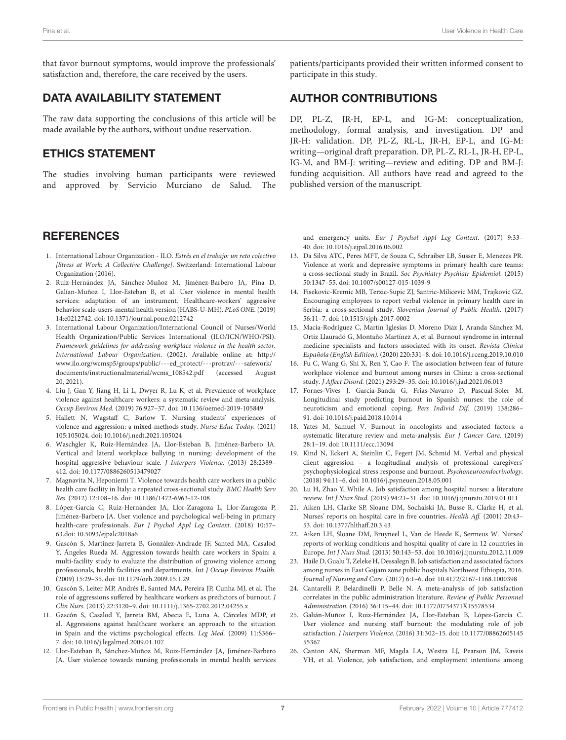that favor burnout symptoms, would improve the professionals' satisfaction and, therefore, the care received by the users.

# DATA AVAILABILITY STATEMENT

The raw data supporting the conclusions of this article will be made available by the authors, without undue reservation.

## ETHICS STATEMENT

The studies involving human participants were reviewed and approved by Servicio Murciano de Salud. The

#### **REFERENCES**

- <span id="page-6-0"></span>1. International Labour Organization - ILO. Estrés en el trabajo: un reto colectivo [Stress at Work: A Collective Challenge]. Switzerland: International Labour Organization (2016).
- <span id="page-6-1"></span>2. Ruiz-Hernández JA, Sánchez-Muñoz M, Jiménez-Barbero JA, Pina D, Galían-Muñoz I, Llor-Esteban B, et al. User violence in mental health services: adaptation of an instrument. Healthcare-workers' aggressive behavior scale-users-mental health version (HABS-U-MH). PLoS ONE. (2019) 14:e0212742. doi: [10.1371/journal.pone.0212742](https://doi.org/10.1371/journal.pone.0212742)
- <span id="page-6-2"></span>3. International Labour Organization/International Council of Nurses/World Health Organization/Public Services International (ILO/ICN/WHO/PSI). Framework guidelines for addressing workplace violence in the health sector. International Labour Organization. (2002). Available online at: [http://](http://www.ilo.org/wcmsp5/groups/public/---ed_protect/---protrav/---safework/documents/instructionalmaterial/wcms_108542.pdf) [www.ilo.org/wcmsp5/groups/public/---ed\\_protect/---protrav/---safework/](http://www.ilo.org/wcmsp5/groups/public/---ed_protect/---protrav/---safework/documents/instructionalmaterial/wcms_108542.pdf) [documents/instructionalmaterial/wcms\\_108542.pdf](http://www.ilo.org/wcmsp5/groups/public/---ed_protect/---protrav/---safework/documents/instructionalmaterial/wcms_108542.pdf) (accessed August 20, 2021).
- <span id="page-6-3"></span>4. Liu J, Gan Y, Jiang H, Li L, Dwyer R, Lu K, et al. Prevalence of workplace violence against healthcare workers: a systematic review and meta-analysis. Occup Environ Med. (2019) 76:927–37. doi: [10.1136/oemed-2019-105849](https://doi.org/10.1136/oemed-2019-105849)
- <span id="page-6-4"></span>5. Hallett N, Wagstaff C, Barlow T. Nursing students' experiences of violence and aggression: a mixed-methods study. Nurse Educ Today. (2021) 105:105024. doi: [10.1016/j.nedt.2021.105024](https://doi.org/10.1016/j.nedt.2021.105024)
- <span id="page-6-5"></span>6. Waschgler K, Ruiz-Hernández JA, Llor-Esteban B, Jiménez-Barbero JA. Vertical and lateral workplace bullying in nursing: development of the hospital aggressive behaviour scale. J Interpers Violence. (2013) 28:2389– 412. doi: [10.1177/0886260513479027](https://doi.org/10.1177/0886260513479027)
- 7. Magnavita N, Heponiemi T. Violence towards health care workers in a public health care facility in Italy: a repeated cross-sectional study. BMC Health Serv Res. (2012) 12:108–16. doi: [10.1186/1472-6963-12-108](https://doi.org/10.1186/1472-6963-12-108)
- <span id="page-6-6"></span>8. López-García C, Ruiz-Hernández JA, Llor-Zaragoza L, Llor-Zaragoza P, Jiménez-Barbero JA. User violence and psychological well-being in primary health-care professionals. Eur J Psychol Appl Leg Context. (2018) 10:57– 63.doi: [10.5093/ejpalc2018a6](https://doi.org/10.5093/ejpalc2018a6)
- <span id="page-6-7"></span>9. Gascón S, Martínez-Jarreta B, González-Andrade JF, Santed MA, Casalod Y, Ángeles Rueda M. Aggression towards health care workers in Spain: a multi-facility study to evaluate the distribution of growing violence among professionals, health facilities and departments. Int J Occup Environ Health. (2009) 15:29–35. doi: [10.1179/oeh.2009.15.1.29](https://doi.org/10.1179/oeh.2009.15.1.29)
- <span id="page-6-8"></span>10. Gascón S, Leiter MP, Andrés E, Santed MA, Pereira JP, Cunha MJ, et al. The role of aggressions suffered by healthcare workers as predictors of burnout. J Clin Nurs. (2013) 22:3120–9. doi: [10.1111/j.1365-2702.2012.04255.x](https://doi.org/10.1111/j.1365-2702.2012.04255.x)
- <span id="page-6-9"></span>11. Gascón S, Casalod Y, Jarreta BM, Abecia E, Luna A, Cárceles MDP, et al. Aggressions against healthcare workers: an approach to the situation in Spain and the victims psychological effects. Leg Med. (2009) 11:S366– 7. doi: [10.1016/j.legalmed.2009.01.107](https://doi.org/10.1016/j.legalmed.2009.01.107)
- <span id="page-6-10"></span>12. Llor-Esteban B, Sánchez-Muñoz M, Ruiz-Hernández JA, Jiménez-Barbero JA. User violence towards nursing professionals in mental health services

patients/participants provided their written informed consent to participate in this study.

# AUTHOR CONTRIBUTIONS

DP, PL-Z, JR-H, EP-L, and IG-M: conceptualization, methodology, formal analysis, and investigation. DP and JR-H: validation. DP, PL-Z, RL-L, JR-H, EP-L, and IG-M: writing—original draft preparation. DP, PL-Z, RL-L, JR-H, EP-L, IG-M, and BM-J: writing—review and editing. DP and BM-J: funding acquisition. All authors have read and agreed to the published version of the manuscript.

and emergency units. Eur J Psychol Appl Leg Context. (2017) 9:33– 40. doi: [10.1016/j.ejpal.2016.06.002](https://doi.org/10.1016/j.ejpal.2016.06.002)

- <span id="page-6-11"></span>13. Da Silva ATC, Peres MFT, de Souza C, Schraiber LB, Susser E, Menezes PR. Violence at work and depressive symptoms in primary health care teams: a cross-sectional study in Brazil. Soc Psychiatry Psychiatr Epidemiol. (2015) 50:1347–55. doi: [10.1007/s00127-015-1039-9](https://doi.org/10.1007/s00127-015-1039-9)
- <span id="page-6-12"></span>14. Fisekovic-Kremic MB, Terzic-Supic ZJ, Santric-Milicevic MM, Trajkovic GZ. Encouraging employees to report verbal violence in primary health care in Serbia: a cross-sectional study. Slovenian Journal of Public Health. (2017) 56:11–7. doi: [10.1515/sjph-2017-0002](https://doi.org/10.1515/sjph-2017-0002)
- <span id="page-6-13"></span>15. Macía-Rodríguez C, Martín Iglesias D, Moreno Diaz J, Aranda Sánchez M, Ortiz Llauradó G, Montaño Martínez A, et al. Burnout syndrome in internal medicine specialists and factors associated with its onset. Revista Clínica Española (English Edition). (2020) 220:331–8. doi: [10.1016/j.rceng.2019.10.010](https://doi.org/10.1016/j.rceng.2019.10.010)
- <span id="page-6-14"></span>16. Fu C, Wang G, Shi X, Ren Y, Cao F. The association between fear of future workplace violence and burnout among nurses in China: a cross-sectional study. J Affect Disord. (2021) 293:29–35. doi: [10.1016/j.jad.2021.06.013](https://doi.org/10.1016/j.jad.2021.06.013)
- <span id="page-6-15"></span>17. Fornes-Vives J, García-Banda G, Frias-Navarro D, Pascual-Soler M. Longitudinal study predicting burnout in Spanish nurses: the role of neuroticism and emotional coping. Pers Individ Dif. (2019) 138:286– 91. doi: [10.1016/j.paid.2018.10.014](https://doi.org/10.1016/j.paid.2018.10.014)
- <span id="page-6-16"></span>18. Yates M, Samuel V. Burnout in oncologists and associated factors: a systematic literature review and meta-analysis. Eur J Cancer Care. (2019) 28:1–19. doi: [10.1111/ecc.13094](https://doi.org/10.1111/ecc.13094)
- <span id="page-6-17"></span>19. Kind N, Eckert A, Steinlin C, Fegert JM, Schmid M. Verbal and physical client aggression – a longitudinal analysis of professional caregivers' psychophysiological stress response and burnout. Psychoneuroendocrinology. (2018) 94:11–6. doi: [10.1016/j.psyneuen.2018.05.001](https://doi.org/10.1016/j.psyneuen.2018.05.001)
- <span id="page-6-18"></span>20. Lu H, Zhao Y, While A. Job satisfaction among hospital nurses: a literature review. Int J Nurs Stud. (2019) 94:21–31. doi: [10.1016/j.ijnurstu.2019.01.011](https://doi.org/10.1016/j.ijnurstu.2019.01.011)
- <span id="page-6-19"></span>21. Aiken LH, Clarke SP, Sloane DM, Sochalski JA, Busse R, Clarke H, et al. Nurses' reports on hospital care in five countries. Health Aff. (2001) 20:43– 53. doi: [10.1377/hlthaff.20.3.43](https://doi.org/10.1377/hlthaff.20.3.43)
- <span id="page-6-20"></span>22. Aiken LH, Sloane DM, Bruyneel L, Van de Heede K, Sermeus W. Nurses' reports of working conditions and hospital quality of care in 12 countries in Europe. Int J Nurs Stud. (2013) 50:143–53. doi: [10.1016/j.ijnurstu.2012.11.009](https://doi.org/10.1016/j.ijnurstu.2012.11.009)
- <span id="page-6-21"></span>23. Haile D, Gualu T, Zeleke H, Dessalegn B. Job satisfaction and associated factors among nurses in East Gojjam zone public hospitals Northwest Ethiopia, 2016. Journal of Nursing and Care. (2017) 6:1–6. doi: [10.4172/2167-1168.1000398](https://doi.org/10.4172/2167-1168.1000398)
- <span id="page-6-22"></span>24. Cantarelli P, Belardinelli P, Belle N. A meta-analysis of job satisfaction correlates in the public administration literature. Review of Public Personnel Administration. (2016) 36:115–44. doi: [10.1177/0734371X15578534](https://doi.org/10.1177/0734371X15578534)
- <span id="page-6-23"></span>25. Galián-Muñoz I, Ruiz-Hernández JA, Llor-Esteban B, López-García C. User violence and nursing staff burnout: the modulating role of job satisfaction. J Interpers Violence. [\(2016\) 31:302–15. doi: 10.1177/08862605145](https://doi.org/10.1177/0886260514555367) 55367
- <span id="page-6-24"></span>26. Canton AN, Sherman MF, Magda LA, Westra LJ, Pearson JM, Raveis VH, et al. Violence, job satisfaction, and employment intentions among